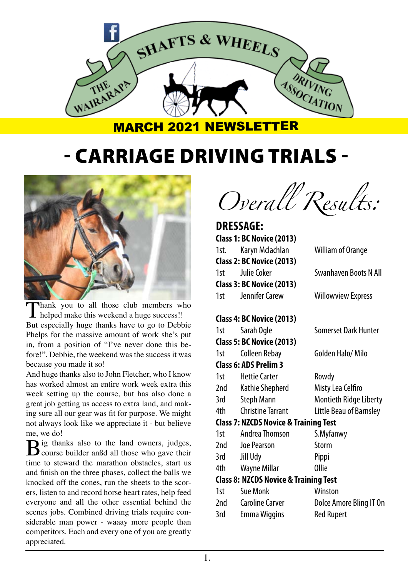

# MARCH 2021 NEWSLETTER

# - carriage Driving trials -



Thank you to all those club members who helped make this weekend a huge success!! But especially huge thanks have to go to Debbie Phelps for the massive amount of work she's put in, from a position of "I've never done this before!". Debbie, the weekend was the success it was because you made it so!

And huge thanks also to John Fletcher, who I know has worked almost an entire work week extra this week setting up the course, but has also done a great job getting us access to extra land, and making sure all our gear was fit for purpose. We might not always look like we appreciate it - but believe me, we do!

 $\sum$  ig thanks also to the land owners, judges, **Course builder anßd all those who gave their** time to steward the marathon obstacles, start us and finish on the three phases, collect the balls we knocked off the cones, run the sheets to the scorers, listen to and record horse heart rates, help feed everyone and all the other essential behind the scenes jobs. Combined driving trials require considerable man power - waaay more people than competitors. Each and every one of you are greatly appreciated.

*Overall Results:*

**Dressage: Class 1: BC Novice (2013)** 1st. Karyn Mclachlan William of Orange **Class 2: BC Novice (2013)** 1st Julie Coker Swanhaven Boots N All **Class 3: BC Novice (2013)** 1st Jennifer Carew Willowview Express

### **Class 4: BC Novice (2013)**

| 1st                                              | Sarah Ogle                   | <b>Somerset Dark Hunter</b>   |  |  |
|--------------------------------------------------|------------------------------|-------------------------------|--|--|
|                                                  | Class 5: BC Novice (2013)    |                               |  |  |
| 1st                                              | <b>Colleen Rebay</b>         | Golden Halo/Milo              |  |  |
|                                                  | <b>Class 6: ADS Prelim 3</b> |                               |  |  |
| 1st                                              | <b>Hettie Carter</b>         | Rowdy                         |  |  |
| 2nd                                              | <b>Kathie Shepherd</b>       | Misty Lea Celfiro             |  |  |
| 3rd                                              | <b>Steph Mann</b>            | <b>Montieth Ridge Liberty</b> |  |  |
| 4th                                              | <b>Christine Tarrant</b>     | Little Beau of Barnsley       |  |  |
| <b>Class 7: NZCDS Novice &amp; Training Test</b> |                              |                               |  |  |
|                                                  |                              |                               |  |  |

| 1st                                              | Andrea Thomson  | S.Myfanwy    |  |  |
|--------------------------------------------------|-----------------|--------------|--|--|
| 2nd                                              | Joe Pearson     | <b>Storm</b> |  |  |
| 3rd                                              | Jill Udy        | Pippi        |  |  |
| 4th                                              | Wayne Millar    | Ollie        |  |  |
| <b>Class 8: NZCDS Novice &amp; Training Test</b> |                 |              |  |  |
| 1st                                              | <b>Sue Monk</b> | Winston      |  |  |

| 15t | <b>SUE MONK</b>        | WINSLON                 |
|-----|------------------------|-------------------------|
| 2nd | <b>Caroline Carver</b> | Dolce Amore Bling IT On |
| 3rd | Emma Wiggins           | <b>Red Rupert</b>       |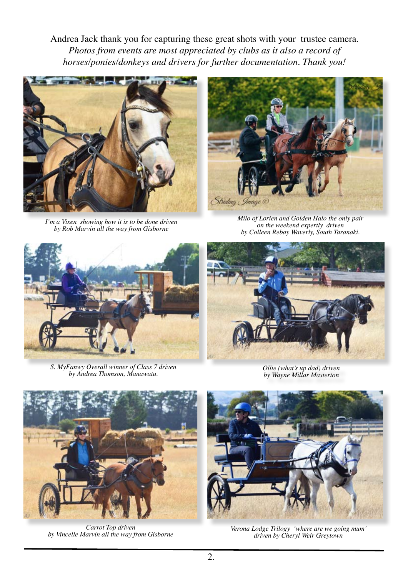Andrea Jack thank you for capturing these great shots with your trustee camera. *Photos from events are most appreciated by clubs as it also a record of horses/ponies/donkeys and drivers for further documentation. Thank you!*



*I'm a Vixen showing how it is to be done driven by Rob Marvin all the way from Gisborne*



*Milo of Lorien and Golden Halo the only pair on the weekend expertly driven by Colleen Rebay Waverly, South Taranaki.*



*S. MyFanwy Overall winner of Class 7 driven by Andrea Thomson, Manawatu.*



*Ollie (what's up dad) driven by Wayne Millar Masterton*



*Carrot Top driven* 



*by Vincelle Marvin all the way from Gisborne Verona Lodge Trilogy 'where are we going mum' driven by Cheryl Weir Greytown*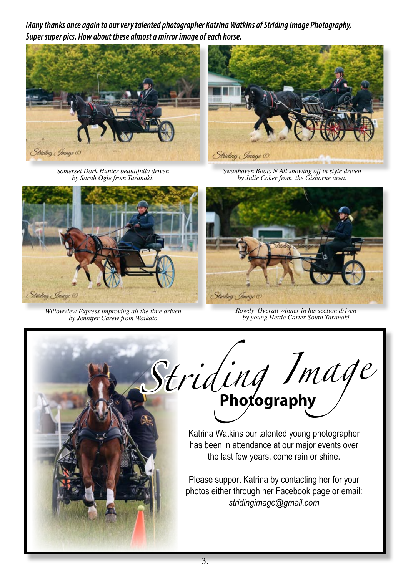*Many thanks once again to our very talented photographer Katrina Watkins of Striding Image Photography, Super super pics. How about these almost a mirror image of each horse.*



*Somerset Dark Hunter beautifully driven by Sarah Ogle from Taranaki.*



*Swanhaven Boots N All showing off in style driven by Julie Coker from the Gisborne area.*



*Willowview Express improving all the time driven by Jennifer Carew from Waikato*



*Rowdy Overall winner in his section driven by young Hettie Carter South Taranaki*



3.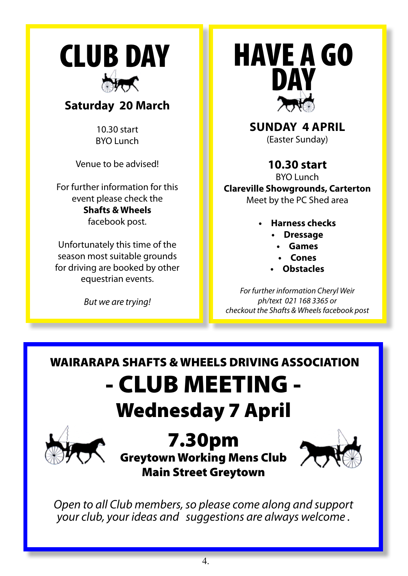

#### **Saturday 20 March**

10.30 start BYO Lunch

Venue to be advised!

For further information for this event please check the **Shafts & Wheels** facebook post.

Unfortunately this time of the season most suitable grounds for driving are booked by other equestrian events.

*But we are trying!*



**Sunday 4 APRIL** (Easter Sunday)

> **10.30 start** BYO Lunch

**Clareville Showgrounds, Carterton** Meet by the PC Shed area

- **• Harness checks**
	- **Dressage** 
		- **• Games**
		- **• Cones**
	- **• Obstacles**

*For further information Cheryl Weir ph/text 021 168 3365 or checkout the Shafts & Wheels facebook post*

# - CLUB MEETING - Wednesday 7 April WAIRARAPA SHAFTS & WHEELS DRIVING ASSOCIATION



# 7.30pm Greytown Working Mens Club Main Street Greytown



*Open to all Club members, so please come along and support your club, your ideas and suggestions are always welcome .*